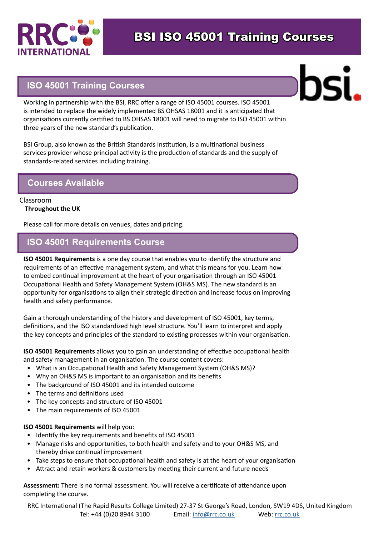

### **ISO 45001 Training Courses**

Working in partnership with the BSI, RRC offer a range of ISO 45001 courses. ISO 45001 is intended to replace the widely implemented BS OHSAS 18001 and it is anticipated that organisations currently certified to BS OHSAS 18001 will need to migrate to ISO 45001 within three years of the new standard's publication.

BSI Group, also known as the British Standards Institution, is a multinational business services provider whose principal activity is the production of standards and the supply of standards-related services including training.

### **Courses Available**

#### Classroom **Throughout the UK**

Please call for more details on venues, dates and pricing.

## **ISO 45001 Requirements Course**

**ISO 45001 Requirements** is a one day course that enables you to identify the structure and requirements of an effective management system, and what this means for you. Learn how to embed continual improvement at the heart of your organisation through an ISO 45001 Occupational Health and Safety Management System (OH&S MS). The new standard is an opportunity for organisations to align their strategic direction and increase focus on improving health and safety performance.

Gain a thorough understanding of the history and development of ISO 45001, key terms, definitions, and the ISO standardized high level structure. You'll learn to interpret and apply the key concepts and principles of the standard to existing processes within your organisation.

**ISO 45001 Requirements** allows you to gain an understanding of effective occupational health and safety management in an organisation. The course content covers:

- What is an Occupational Health and Safety Management System (OH&S MS)?
- Why an OH&S MS is important to an organisation and its benefits
- The background of ISO 45001 and its intended outcome
- The terms and definitions used
- The key concepts and structure of ISO 45001
- The main requirements of ISO 45001

#### **ISO 45001 Requirements** will help you:

- Identify the key requirements and benefits of ISO 45001
- Manage risks and opportunities, to both health and safety and to your OH&S MS, and thereby drive continual improvement
- Take steps to ensure that occupational health and safety is at the heart of your organisation
- Attract and retain workers & customers by meeting their current and future needs

**Assessment:** There is no formal assessment. You will receive a certificate of attendance upon completing the course.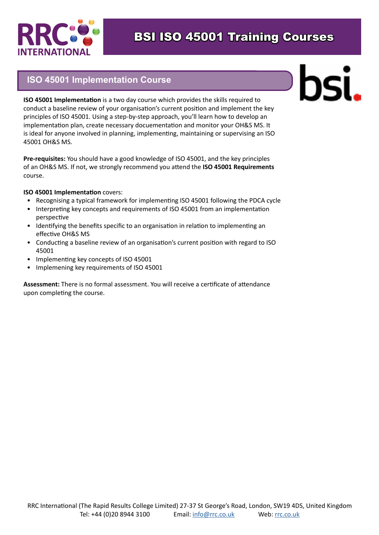

## **ISO 45001 Implementation Course**

# hsi.

**ISO 45001 Implementation** is a two day course which provides the skills required to conduct a baseline review of your organisation's current position and implement the key principles of ISO 45001. Using a step-by-step approach, you'll learn how to develop an implementation plan, create necessary docuementation and monitor your OH&S MS. It is ideal for anyone involved in planning, implementing, maintaining or supervising an ISO 45001 OH&S MS.

**Pre-requisites:** You should have a good knowledge of ISO 45001, and the key principles of an OH&S MS. If not, we strongly recommend you attend the **ISO 45001 Requirements**  course.

#### **ISO 45001 Implementation** covers:

- Recognising a typical framework for implementing ISO 45001 following the PDCA cycle
- Interpreting key concepts and requirements of ISO 45001 from an implementation perspective
- Identifying the benefits specific to an organisation in relation to implementing an effective OH&S MS
- Conducting a baseline review of an organisation's current position with regard to ISO 45001
- Implementing key concepts of ISO 45001
- Implemening key requirements of ISO 45001

**Assessment:** There is no formal assessment. You will receive a certificate of attendance upon completing the course.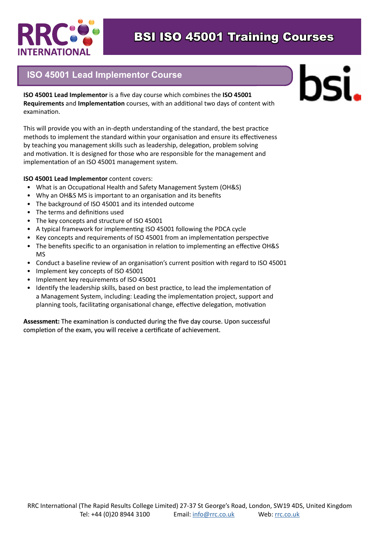

## **ISO 45001 Lead Implementor Course**

**ISO 45001 Lead Implementor** is a five day course which combines the **ISO 45001 Requirements** and **Implementation** courses, with an additional two days of content with examination.

This will provide you with an in-depth understanding of the standard, the best practice methods to implement the standard within your organisation and ensure its effectiveness by teaching you management skills such as leadership, delegation, problem solving and motivation. It is designed for those who are responsible for the management and implementation of an ISO 45001 management system.

#### **ISO 45001 Lead Implementor** content covers:

- What is an Occupational Health and Safety Management System (OH&S)
- Why an OH&S MS is important to an organisation and its benefits
- The background of ISO 45001 and its intended outcome
- The terms and definitions used
- The key concepts and structure of ISO 45001
- A typical framework for implementing ISO 45001 following the PDCA cycle
- Key concepts and requirements of ISO 45001 from an implementation perspective
- The benefits specific to an organisation in relation to implementing an effective OH&S MS
- Conduct a baseline review of an organisation's current position with regard to ISO 45001
- Implement key concepts of ISO 45001
- Implement key requirements of ISO 45001
- Identify the leadership skills, based on best practice, to lead the implementation of a Management System, including: Leading the implementation project, support and planning tools, facilitating organisational change, effective delegation, motivation

#### **Assessment:** The examination is conducted during the five day course. Upon successful completion of the exam, you will receive a certificate of achievement.

# DSÍ.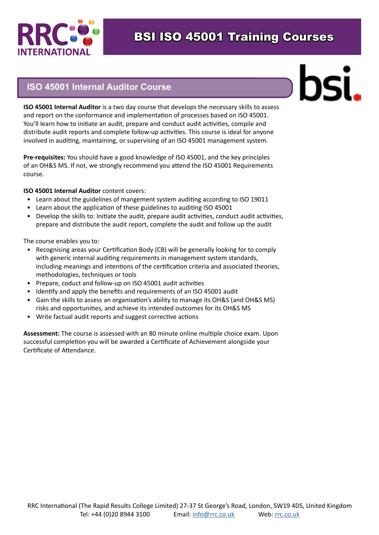

### **ISO 45001 Internal Auditor Course**

**ISO 45001 Internal Auditor** is a two day course that develops the necessary skills to assess and report on the conformance and implementation of processes based on ISO 45001. You'll learn how to initiate an audit, prepare and conduct audit activities, compile and distribute audit reports and complete follow-up activities. This course is ideal for anyone involved in auditing, maintaining, or supervising of an ISO 45001 management system.

**Pre-requisites:** You should have a good knowledge of ISO 45001, and the key principles of an OH&S MS. If not, we strongly recommend you attend the ISO 45001 Requirements course.

#### **ISO 45001 Internal Auditor** content covers:

- Learn about the guidelines of mangement system auditing according to ISO 19011
- Learn about the application of these guidelines to auditing ISO 45001
- Develop the skills to: Initiate the audit, prepare audit activities, conduct audit activities, prepare and distribute the audit report, complete the audit and follow up the audit

The course enables you to:

- Recognising areas your Certification Body (CB) will be generally looking for to comply with generic internal auditing requirements in management system standards, including meanings and intentions of the certification criteria and associated theories, methodologies, techniques or tools
- Prepare, coduct and follow-up on ISO 45001 audit activities
- Identify and apply the benefits and requirements of an ISO 45001 audit
- Gain the skills to assess an organisation's ability to manage its OH&S (and OH&S MS) risks and opportunities, and achieve its intended outcomes for its OH&S MS
- Write factual audit reports and suggest corrective actions

**Assessment:** The course is assessed with an 80 minute online multiple choice exam. Upon successful completion you will be awarded a Certificate of Achievement alongside your Certificate of Attendance.

# bsi.